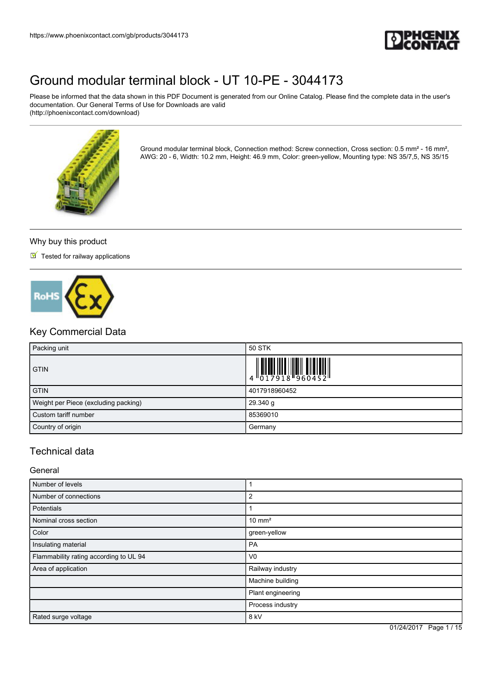

Please be informed that the data shown in this PDF Document is generated from our Online Catalog. Please find the complete data in the user's documentation. Our General Terms of Use for Downloads are valid (http://phoenixcontact.com/download)



Ground modular terminal block, Connection method: Screw connection, Cross section: 0.5 mm² - 16 mm², AWG: 20 - 6, Width: 10.2 mm, Height: 46.9 mm, Color: green-yellow, Mounting type: NS 35/7,5, NS 35/15

#### Why buy this product

 $\blacksquare$  Tested for railway applications



### Key Commercial Data

| Packing unit                         | <b>50 STK</b>                                                                                                                                                                                                                                                                                                               |
|--------------------------------------|-----------------------------------------------------------------------------------------------------------------------------------------------------------------------------------------------------------------------------------------------------------------------------------------------------------------------------|
| <b>GTIN</b>                          | $\begin{array}{c} 1 & 0 & 0 & 0 & 0 \\ 0 & 1 & 0 & 0 & 0 \\ 0 & 1 & 0 & 0 & 0 \\ 0 & 0 & 0 & 0 & 0 \\ 0 & 0 & 0 & 0 & 0 \\ 0 & 0 & 0 & 0 & 0 \\ 0 & 0 & 0 & 0 & 0 \\ 0 & 0 & 0 & 0 & 0 \\ 0 & 0 & 0 & 0 & 0 \\ 0 & 0 & 0 & 0 & 0 \\ 0 & 0 & 0 & 0 & 0 & 0 \\ 0 & 0 & 0 & 0 & 0 & 0 \\ 0 & 0 & 0 & 0 & 0 & 0 \\ 0 & 0 & 0 &$ |
| <b>GTIN</b>                          | 4017918960452                                                                                                                                                                                                                                                                                                               |
| Weight per Piece (excluding packing) | 29.340 g                                                                                                                                                                                                                                                                                                                    |
| Custom tariff number                 | 85369010                                                                                                                                                                                                                                                                                                                    |
| Country of origin                    | Germany                                                                                                                                                                                                                                                                                                                     |

### Technical data

General

| Number of levels                       |                   |
|----------------------------------------|-------------------|
| Number of connections                  | 2                 |
| <b>Potentials</b>                      |                   |
| Nominal cross section                  | $10 \text{ mm}^2$ |
| Color                                  | green-yellow      |
| Insulating material                    | PA                |
| Flammability rating according to UL 94 | V <sub>0</sub>    |
| Area of application                    | Railway industry  |
|                                        | Machine building  |
|                                        | Plant engineering |
|                                        | Process industry  |
| Rated surge voltage                    | 8 kV              |

01/24/2017 Page 1 / 15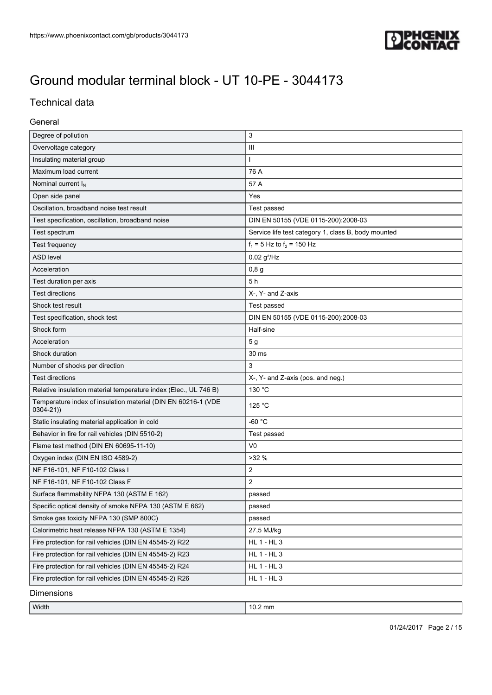

### Technical data

#### General

| Overvoltage category<br>Ш<br>Insulating material group<br>Maximum load current<br>76 A<br>Nominal current I <sub>N</sub><br>57 A<br>Open side panel<br>Yes<br>Oscillation, broadband noise test result<br>Test passed<br>Test specification, oscillation, broadband noise<br>DIN EN 50155 (VDE 0115-200):2008-03<br>Service life test category 1, class B, body mounted<br>Test spectrum<br>$f_1 = 5$ Hz to $f_2 = 150$ Hz<br>Test frequency<br><b>ASD level</b><br>$0.02$ g <sup>2</sup> /Hz<br>Acceleration<br>0,8g<br>5h<br>Test duration per axis<br><b>Test directions</b><br>X-, Y- and Z-axis<br>Shock test result<br>Test passed<br>DIN EN 50155 (VDE 0115-200):2008-03<br>Test specification, shock test<br>Shock form<br>Half-sine<br>Acceleration<br>5 <sub>g</sub><br>Shock duration<br>30 ms<br>3<br>Number of shocks per direction<br>X-, Y- and Z-axis (pos. and neg.)<br><b>Test directions</b><br>130 °C<br>Relative insulation material temperature index (Elec., UL 746 B)<br>Temperature index of insulation material (DIN EN 60216-1 (VDE<br>125 °C<br>$0304 - 21)$<br>$-60 °C$<br>Static insulating material application in cold<br>Behavior in fire for rail vehicles (DIN 5510-2)<br>Test passed<br>V <sub>0</sub><br>Flame test method (DIN EN 60695-11-10)<br>>32%<br>Oxygen index (DIN EN ISO 4589-2)<br>NF F16-101, NF F10-102 Class I<br>$\overline{c}$<br>$\overline{2}$<br>NF F16-101, NF F10-102 Class F<br>Surface flammability NFPA 130 (ASTM E 162)<br>passed<br>Specific optical density of smoke NFPA 130 (ASTM E 662)<br>passed<br>Smoke gas toxicity NFPA 130 (SMP 800C)<br>passed<br>Calorimetric heat release NFPA 130 (ASTM E 1354)<br>27,5 MJ/kg<br>Fire protection for rail vehicles (DIN EN 45545-2) R22<br>HL 1 - HL 3<br>HL 1 - HL 3<br>Fire protection for rail vehicles (DIN EN 45545-2) R23<br>HL 1 - HL 3<br>Fire protection for rail vehicles (DIN EN 45545-2) R24<br>HL 1 - HL 3<br>Fire protection for rail vehicles (DIN EN 45545-2) R26 | Degree of pollution | 3 |
|-------------------------------------------------------------------------------------------------------------------------------------------------------------------------------------------------------------------------------------------------------------------------------------------------------------------------------------------------------------------------------------------------------------------------------------------------------------------------------------------------------------------------------------------------------------------------------------------------------------------------------------------------------------------------------------------------------------------------------------------------------------------------------------------------------------------------------------------------------------------------------------------------------------------------------------------------------------------------------------------------------------------------------------------------------------------------------------------------------------------------------------------------------------------------------------------------------------------------------------------------------------------------------------------------------------------------------------------------------------------------------------------------------------------------------------------------------------------------------------------------------------------------------------------------------------------------------------------------------------------------------------------------------------------------------------------------------------------------------------------------------------------------------------------------------------------------------------------------------------------------------------------------------------------------------------------------------------------------------------------------|---------------------|---|
|                                                                                                                                                                                                                                                                                                                                                                                                                                                                                                                                                                                                                                                                                                                                                                                                                                                                                                                                                                                                                                                                                                                                                                                                                                                                                                                                                                                                                                                                                                                                                                                                                                                                                                                                                                                                                                                                                                                                                                                                 |                     |   |
|                                                                                                                                                                                                                                                                                                                                                                                                                                                                                                                                                                                                                                                                                                                                                                                                                                                                                                                                                                                                                                                                                                                                                                                                                                                                                                                                                                                                                                                                                                                                                                                                                                                                                                                                                                                                                                                                                                                                                                                                 |                     |   |
|                                                                                                                                                                                                                                                                                                                                                                                                                                                                                                                                                                                                                                                                                                                                                                                                                                                                                                                                                                                                                                                                                                                                                                                                                                                                                                                                                                                                                                                                                                                                                                                                                                                                                                                                                                                                                                                                                                                                                                                                 |                     |   |
|                                                                                                                                                                                                                                                                                                                                                                                                                                                                                                                                                                                                                                                                                                                                                                                                                                                                                                                                                                                                                                                                                                                                                                                                                                                                                                                                                                                                                                                                                                                                                                                                                                                                                                                                                                                                                                                                                                                                                                                                 |                     |   |
|                                                                                                                                                                                                                                                                                                                                                                                                                                                                                                                                                                                                                                                                                                                                                                                                                                                                                                                                                                                                                                                                                                                                                                                                                                                                                                                                                                                                                                                                                                                                                                                                                                                                                                                                                                                                                                                                                                                                                                                                 |                     |   |
|                                                                                                                                                                                                                                                                                                                                                                                                                                                                                                                                                                                                                                                                                                                                                                                                                                                                                                                                                                                                                                                                                                                                                                                                                                                                                                                                                                                                                                                                                                                                                                                                                                                                                                                                                                                                                                                                                                                                                                                                 |                     |   |
|                                                                                                                                                                                                                                                                                                                                                                                                                                                                                                                                                                                                                                                                                                                                                                                                                                                                                                                                                                                                                                                                                                                                                                                                                                                                                                                                                                                                                                                                                                                                                                                                                                                                                                                                                                                                                                                                                                                                                                                                 |                     |   |
|                                                                                                                                                                                                                                                                                                                                                                                                                                                                                                                                                                                                                                                                                                                                                                                                                                                                                                                                                                                                                                                                                                                                                                                                                                                                                                                                                                                                                                                                                                                                                                                                                                                                                                                                                                                                                                                                                                                                                                                                 |                     |   |
|                                                                                                                                                                                                                                                                                                                                                                                                                                                                                                                                                                                                                                                                                                                                                                                                                                                                                                                                                                                                                                                                                                                                                                                                                                                                                                                                                                                                                                                                                                                                                                                                                                                                                                                                                                                                                                                                                                                                                                                                 |                     |   |
|                                                                                                                                                                                                                                                                                                                                                                                                                                                                                                                                                                                                                                                                                                                                                                                                                                                                                                                                                                                                                                                                                                                                                                                                                                                                                                                                                                                                                                                                                                                                                                                                                                                                                                                                                                                                                                                                                                                                                                                                 |                     |   |
|                                                                                                                                                                                                                                                                                                                                                                                                                                                                                                                                                                                                                                                                                                                                                                                                                                                                                                                                                                                                                                                                                                                                                                                                                                                                                                                                                                                                                                                                                                                                                                                                                                                                                                                                                                                                                                                                                                                                                                                                 |                     |   |
|                                                                                                                                                                                                                                                                                                                                                                                                                                                                                                                                                                                                                                                                                                                                                                                                                                                                                                                                                                                                                                                                                                                                                                                                                                                                                                                                                                                                                                                                                                                                                                                                                                                                                                                                                                                                                                                                                                                                                                                                 |                     |   |
|                                                                                                                                                                                                                                                                                                                                                                                                                                                                                                                                                                                                                                                                                                                                                                                                                                                                                                                                                                                                                                                                                                                                                                                                                                                                                                                                                                                                                                                                                                                                                                                                                                                                                                                                                                                                                                                                                                                                                                                                 |                     |   |
|                                                                                                                                                                                                                                                                                                                                                                                                                                                                                                                                                                                                                                                                                                                                                                                                                                                                                                                                                                                                                                                                                                                                                                                                                                                                                                                                                                                                                                                                                                                                                                                                                                                                                                                                                                                                                                                                                                                                                                                                 |                     |   |
|                                                                                                                                                                                                                                                                                                                                                                                                                                                                                                                                                                                                                                                                                                                                                                                                                                                                                                                                                                                                                                                                                                                                                                                                                                                                                                                                                                                                                                                                                                                                                                                                                                                                                                                                                                                                                                                                                                                                                                                                 |                     |   |
|                                                                                                                                                                                                                                                                                                                                                                                                                                                                                                                                                                                                                                                                                                                                                                                                                                                                                                                                                                                                                                                                                                                                                                                                                                                                                                                                                                                                                                                                                                                                                                                                                                                                                                                                                                                                                                                                                                                                                                                                 |                     |   |
|                                                                                                                                                                                                                                                                                                                                                                                                                                                                                                                                                                                                                                                                                                                                                                                                                                                                                                                                                                                                                                                                                                                                                                                                                                                                                                                                                                                                                                                                                                                                                                                                                                                                                                                                                                                                                                                                                                                                                                                                 |                     |   |
|                                                                                                                                                                                                                                                                                                                                                                                                                                                                                                                                                                                                                                                                                                                                                                                                                                                                                                                                                                                                                                                                                                                                                                                                                                                                                                                                                                                                                                                                                                                                                                                                                                                                                                                                                                                                                                                                                                                                                                                                 |                     |   |
|                                                                                                                                                                                                                                                                                                                                                                                                                                                                                                                                                                                                                                                                                                                                                                                                                                                                                                                                                                                                                                                                                                                                                                                                                                                                                                                                                                                                                                                                                                                                                                                                                                                                                                                                                                                                                                                                                                                                                                                                 |                     |   |
|                                                                                                                                                                                                                                                                                                                                                                                                                                                                                                                                                                                                                                                                                                                                                                                                                                                                                                                                                                                                                                                                                                                                                                                                                                                                                                                                                                                                                                                                                                                                                                                                                                                                                                                                                                                                                                                                                                                                                                                                 |                     |   |
|                                                                                                                                                                                                                                                                                                                                                                                                                                                                                                                                                                                                                                                                                                                                                                                                                                                                                                                                                                                                                                                                                                                                                                                                                                                                                                                                                                                                                                                                                                                                                                                                                                                                                                                                                                                                                                                                                                                                                                                                 |                     |   |
|                                                                                                                                                                                                                                                                                                                                                                                                                                                                                                                                                                                                                                                                                                                                                                                                                                                                                                                                                                                                                                                                                                                                                                                                                                                                                                                                                                                                                                                                                                                                                                                                                                                                                                                                                                                                                                                                                                                                                                                                 |                     |   |
|                                                                                                                                                                                                                                                                                                                                                                                                                                                                                                                                                                                                                                                                                                                                                                                                                                                                                                                                                                                                                                                                                                                                                                                                                                                                                                                                                                                                                                                                                                                                                                                                                                                                                                                                                                                                                                                                                                                                                                                                 |                     |   |
|                                                                                                                                                                                                                                                                                                                                                                                                                                                                                                                                                                                                                                                                                                                                                                                                                                                                                                                                                                                                                                                                                                                                                                                                                                                                                                                                                                                                                                                                                                                                                                                                                                                                                                                                                                                                                                                                                                                                                                                                 |                     |   |
|                                                                                                                                                                                                                                                                                                                                                                                                                                                                                                                                                                                                                                                                                                                                                                                                                                                                                                                                                                                                                                                                                                                                                                                                                                                                                                                                                                                                                                                                                                                                                                                                                                                                                                                                                                                                                                                                                                                                                                                                 |                     |   |
|                                                                                                                                                                                                                                                                                                                                                                                                                                                                                                                                                                                                                                                                                                                                                                                                                                                                                                                                                                                                                                                                                                                                                                                                                                                                                                                                                                                                                                                                                                                                                                                                                                                                                                                                                                                                                                                                                                                                                                                                 |                     |   |
|                                                                                                                                                                                                                                                                                                                                                                                                                                                                                                                                                                                                                                                                                                                                                                                                                                                                                                                                                                                                                                                                                                                                                                                                                                                                                                                                                                                                                                                                                                                                                                                                                                                                                                                                                                                                                                                                                                                                                                                                 |                     |   |
|                                                                                                                                                                                                                                                                                                                                                                                                                                                                                                                                                                                                                                                                                                                                                                                                                                                                                                                                                                                                                                                                                                                                                                                                                                                                                                                                                                                                                                                                                                                                                                                                                                                                                                                                                                                                                                                                                                                                                                                                 |                     |   |
|                                                                                                                                                                                                                                                                                                                                                                                                                                                                                                                                                                                                                                                                                                                                                                                                                                                                                                                                                                                                                                                                                                                                                                                                                                                                                                                                                                                                                                                                                                                                                                                                                                                                                                                                                                                                                                                                                                                                                                                                 |                     |   |
|                                                                                                                                                                                                                                                                                                                                                                                                                                                                                                                                                                                                                                                                                                                                                                                                                                                                                                                                                                                                                                                                                                                                                                                                                                                                                                                                                                                                                                                                                                                                                                                                                                                                                                                                                                                                                                                                                                                                                                                                 |                     |   |
|                                                                                                                                                                                                                                                                                                                                                                                                                                                                                                                                                                                                                                                                                                                                                                                                                                                                                                                                                                                                                                                                                                                                                                                                                                                                                                                                                                                                                                                                                                                                                                                                                                                                                                                                                                                                                                                                                                                                                                                                 |                     |   |
|                                                                                                                                                                                                                                                                                                                                                                                                                                                                                                                                                                                                                                                                                                                                                                                                                                                                                                                                                                                                                                                                                                                                                                                                                                                                                                                                                                                                                                                                                                                                                                                                                                                                                                                                                                                                                                                                                                                                                                                                 |                     |   |
|                                                                                                                                                                                                                                                                                                                                                                                                                                                                                                                                                                                                                                                                                                                                                                                                                                                                                                                                                                                                                                                                                                                                                                                                                                                                                                                                                                                                                                                                                                                                                                                                                                                                                                                                                                                                                                                                                                                                                                                                 |                     |   |
|                                                                                                                                                                                                                                                                                                                                                                                                                                                                                                                                                                                                                                                                                                                                                                                                                                                                                                                                                                                                                                                                                                                                                                                                                                                                                                                                                                                                                                                                                                                                                                                                                                                                                                                                                                                                                                                                                                                                                                                                 |                     |   |
|                                                                                                                                                                                                                                                                                                                                                                                                                                                                                                                                                                                                                                                                                                                                                                                                                                                                                                                                                                                                                                                                                                                                                                                                                                                                                                                                                                                                                                                                                                                                                                                                                                                                                                                                                                                                                                                                                                                                                                                                 |                     |   |
|                                                                                                                                                                                                                                                                                                                                                                                                                                                                                                                                                                                                                                                                                                                                                                                                                                                                                                                                                                                                                                                                                                                                                                                                                                                                                                                                                                                                                                                                                                                                                                                                                                                                                                                                                                                                                                                                                                                                                                                                 |                     |   |

Dimensions

Width **10.2 mm**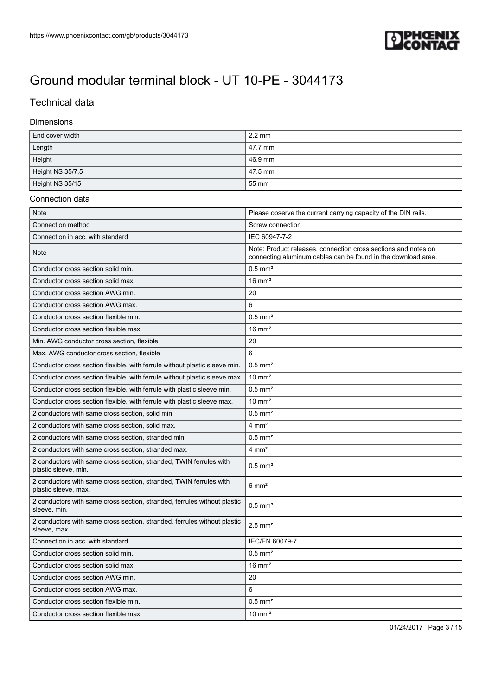

### Technical data

#### Dimensions

| End cover width  | $2.2 \text{ mm}$ |
|------------------|------------------|
| Length           | 47.7 mm          |
| Height           | 46.9 mm          |
| Height NS 35/7,5 | 47.5 mm          |
| Height NS 35/15  | 55 mm            |

#### Connection data

| <b>Note</b>                                                                                | Please observe the current carrying capacity of the DIN rails.                                                                  |
|--------------------------------------------------------------------------------------------|---------------------------------------------------------------------------------------------------------------------------------|
| Connection method                                                                          | Screw connection                                                                                                                |
| Connection in acc. with standard                                                           | IEC 60947-7-2                                                                                                                   |
| Note                                                                                       | Note: Product releases, connection cross sections and notes on<br>connecting aluminum cables can be found in the download area. |
| Conductor cross section solid min.                                                         | $0.5$ mm <sup>2</sup>                                                                                                           |
| Conductor cross section solid max.                                                         | $16 \text{ mm}^2$                                                                                                               |
| Conductor cross section AWG min.                                                           | 20                                                                                                                              |
| Conductor cross section AWG max.                                                           | 6                                                                                                                               |
| Conductor cross section flexible min.                                                      | $0.5$ mm <sup>2</sup>                                                                                                           |
| Conductor cross section flexible max.                                                      | $16 \text{ mm}^2$                                                                                                               |
| Min. AWG conductor cross section, flexible                                                 | 20                                                                                                                              |
| Max. AWG conductor cross section, flexible                                                 | 6                                                                                                                               |
| Conductor cross section flexible, with ferrule without plastic sleeve min.                 | $0.5$ mm <sup>2</sup>                                                                                                           |
| Conductor cross section flexible, with ferrule without plastic sleeve max.                 | $10 \text{ mm}^2$                                                                                                               |
| Conductor cross section flexible, with ferrule with plastic sleeve min.                    | $0.5$ mm <sup>2</sup>                                                                                                           |
| Conductor cross section flexible, with ferrule with plastic sleeve max.                    | $10 \text{ mm}^2$                                                                                                               |
| 2 conductors with same cross section, solid min.                                           | $0.5$ mm <sup>2</sup>                                                                                                           |
| 2 conductors with same cross section, solid max.                                           | $4 \text{ mm}^2$                                                                                                                |
| 2 conductors with same cross section, stranded min.                                        | $0.5$ mm <sup>2</sup>                                                                                                           |
| 2 conductors with same cross section, stranded max.                                        | $4 \text{ mm}^2$                                                                                                                |
| 2 conductors with same cross section, stranded, TWIN ferrules with<br>plastic sleeve, min. | $0.5$ mm <sup>2</sup>                                                                                                           |
| 2 conductors with same cross section, stranded, TWIN ferrules with<br>plastic sleeve, max. | $6 \text{ mm}^2$                                                                                                                |
| 2 conductors with same cross section, stranded, ferrules without plastic<br>sleeve, min.   | $0.5$ mm <sup>2</sup>                                                                                                           |
| 2 conductors with same cross section, stranded, ferrules without plastic<br>sleeve, max.   | $2.5$ mm <sup>2</sup>                                                                                                           |
| Connection in acc. with standard                                                           | IEC/EN 60079-7                                                                                                                  |
| Conductor cross section solid min.                                                         | $0.5$ mm <sup>2</sup>                                                                                                           |
| Conductor cross section solid max.                                                         | $16 \text{ mm}^2$                                                                                                               |
| Conductor cross section AWG min.                                                           | 20                                                                                                                              |
| Conductor cross section AWG max.                                                           | 6                                                                                                                               |
| Conductor cross section flexible min.                                                      | $0.5$ mm <sup>2</sup>                                                                                                           |
| Conductor cross section flexible max.                                                      | $10 \text{ mm}^2$                                                                                                               |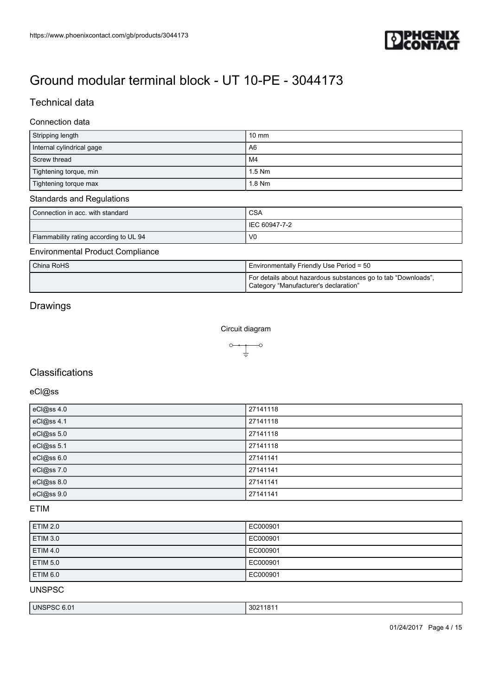

### Technical data

#### Connection data

| Stripping length          | $10 \text{ mm}$ |
|---------------------------|-----------------|
| Internal cylindrical gage | A <sub>6</sub>  |
| Screw thread              | l M4            |
| Tightening torque, min    | $1.5$ Nm        |
| Tightening torque max     | 1.8 Nm          |

#### Standards and Regulations

| Connection in acc. with standard       | <b>CSA</b>     |
|----------------------------------------|----------------|
|                                        | IEC 60947-7-2  |
| Flammability rating according to UL 94 | V <sub>0</sub> |

#### Environmental Product Compliance

| China RoHS | Environmentally Friendly Use Period = 50                                                               |
|------------|--------------------------------------------------------------------------------------------------------|
|            | For details about hazardous substances go to tab "Downloads",<br>Category "Manufacturer's declaration" |

### Drawings

Circuit diagram



### **Classifications**

### eCl@ss

| eCl@ss 4.0 | 27141118 |
|------------|----------|
| eCl@ss 4.1 | 27141118 |
| eCl@ss 5.0 | 27141118 |
| eCl@ss 5.1 | 27141118 |
| eCl@ss 6.0 | 27141141 |
| eCl@ss 7.0 | 27141141 |
| eCl@ss 8.0 | 27141141 |
| eCl@ss 9.0 | 27141141 |

#### ETIM

| <b>ETIM 2.0</b> | EC000901 |
|-----------------|----------|
| <b>ETIM 3.0</b> | EC000901 |
| <b>ETIM 4.0</b> | EC000901 |
| <b>ETIM 5.0</b> | EC000901 |
| <b>ETIM 6.0</b> | EC000901 |

UNSPSC

| UNS<br>n,<br>חר.<br><u>ы</u><br>$\cdot$ U.U. | 302<br>. .<br>.<br>18 |
|----------------------------------------------|-----------------------|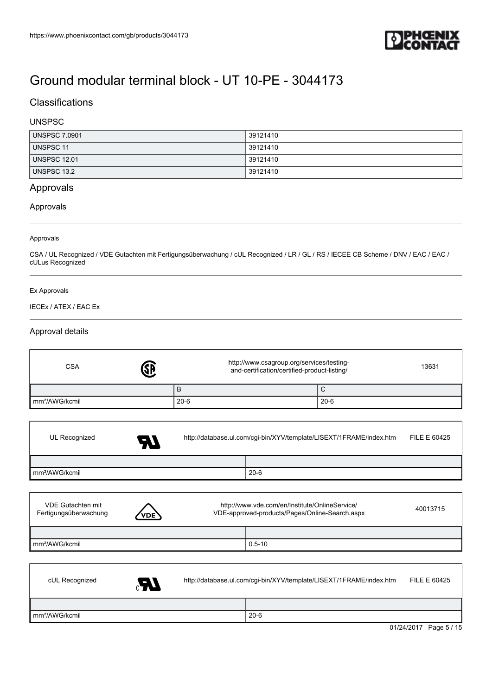

### **Classifications**

### UNSPSC

| <b>UNSPSC 7.0901</b> | 39121410 |
|----------------------|----------|
| <b>UNSPSC 11</b>     | 39121410 |
| <b>UNSPSC 12.01</b>  | 39121410 |
| UNSPSC 13.2          | 39121410 |

#### Approvals

#### Approvals

#### Approvals

CSA / UL Recognized / VDE Gutachten mit Fertigungsüberwachung / cUL Recognized / LR / GL / RS / IECEE CB Scheme / DNV / EAC / EAC / cULus Recognized

#### Ex Approvals

#### IECEx / ATEX / EAC Ex

#### Approval details

| <b>CSA</b>                                        |     | http://www.csagroup.org/services/testing-<br>and-certification/certified-product-listing/        |            |                                                                     | 13631                  |
|---------------------------------------------------|-----|--------------------------------------------------------------------------------------------------|------------|---------------------------------------------------------------------|------------------------|
|                                                   |     | B                                                                                                |            | $\mathsf C$                                                         |                        |
| mm <sup>2</sup> /AWG/kcmil                        |     | $20 - 6$                                                                                         |            | $20 - 6$                                                            |                        |
|                                                   |     |                                                                                                  |            |                                                                     |                        |
| UL Recognized                                     | - 1 |                                                                                                  |            | http://database.ul.com/cgi-bin/XYV/template/LISEXT/1FRAME/index.htm | <b>FILE E 60425</b>    |
|                                                   |     |                                                                                                  |            |                                                                     |                        |
| mm <sup>2</sup> /AWG/kcmil                        |     |                                                                                                  | $20 - 6$   |                                                                     |                        |
|                                                   |     |                                                                                                  |            |                                                                     |                        |
| <b>VDE Gutachten mit</b><br>Fertigungsüberwachung | /DE | http://www.vde.com/en/Institute/OnlineService/<br>VDE-approved-products/Pages/Online-Search.aspx |            |                                                                     | 40013715               |
|                                                   |     |                                                                                                  |            |                                                                     |                        |
| mm <sup>2</sup> /AWG/kcmil                        |     |                                                                                                  | $0.5 - 10$ |                                                                     |                        |
|                                                   |     |                                                                                                  |            |                                                                     |                        |
| cUL Recognized                                    | UP. |                                                                                                  |            | http://database.ul.com/cgi-bin/XYV/template/LISEXT/1FRAME/index.htm | <b>FILE E 60425</b>    |
|                                                   |     |                                                                                                  |            |                                                                     |                        |
| mm <sup>2</sup> /AWG/kcmil                        |     |                                                                                                  | $20 - 6$   |                                                                     |                        |
|                                                   |     |                                                                                                  |            |                                                                     | 01/24/2017 Page 5 / 15 |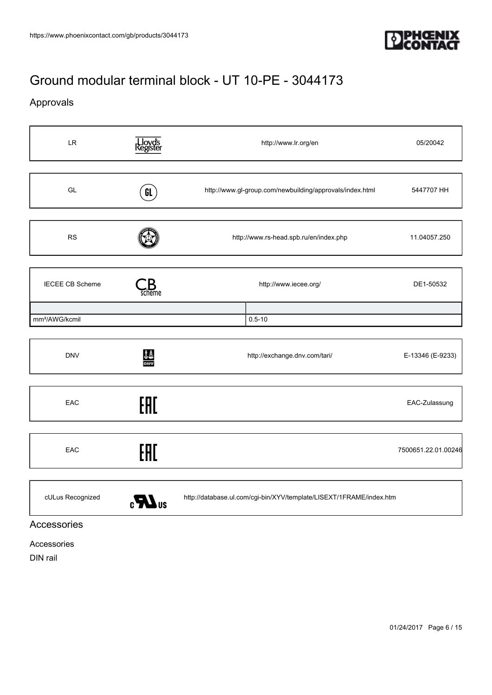

### Approvals

| <b>LR</b>                  | , Lloyd's<br>Register        | http://www.lr.org/en                                                | 05/20042            |
|----------------------------|------------------------------|---------------------------------------------------------------------|---------------------|
| GL                         | GL                           | http://www.gl-group.com/newbuilding/approvals/index.html            | 5447707 HH          |
| <b>RS</b>                  |                              | http://www.rs-head.spb.ru/en/index.php                              | 11.04057.250        |
| <b>IECEE CB Scheme</b>     | scheme                       | http://www.iecee.org/                                               | DE1-50532           |
| mm <sup>2</sup> /AWG/kcmil |                              | $0.5 - 10$                                                          |                     |
| <b>DNV</b>                 | <b>JA</b><br>DNV             | http://exchange.dnv.com/tari/                                       | E-13346 (E-9233)    |
| EAC                        | EAC                          |                                                                     | EAC-Zulassung       |
| EAC                        | EAC                          |                                                                     | 7500651.22.01.00246 |
| cULus Recognized           | $\boldsymbol{\mathbf{M}}$ us | http://database.ul.com/cgi-bin/XYV/template/LISEXT/1FRAME/index.htm |                     |

### Accessories

Accessories

DIN rail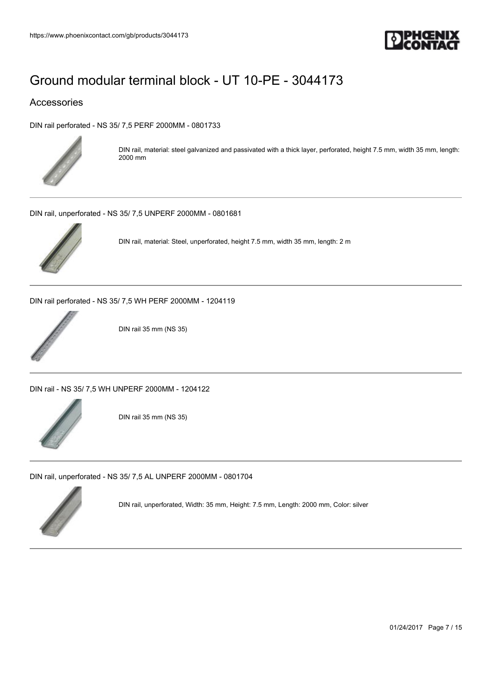

### Accessories

[DIN rail perforated - NS 35/ 7,5 PERF 2000MM - 0801733](https://www.phoenixcontact.com/gb/products/0801733)



DIN rail, material: steel galvanized and passivated with a thick layer, perforated, height 7.5 mm, width 35 mm, length: 2000 mm

[DIN rail, unperforated - NS 35/ 7,5 UNPERF 2000MM - 0801681](https://www.phoenixcontact.com/gb/products/0801681)



DIN rail, material: Steel, unperforated, height 7.5 mm, width 35 mm, length: 2 m

[DIN rail perforated - NS 35/ 7,5 WH PERF 2000MM - 1204119](https://www.phoenixcontact.com/gb/products/1204119)



DIN rail 35 mm (NS 35)

[DIN rail - NS 35/ 7,5 WH UNPERF 2000MM - 1204122](https://www.phoenixcontact.com/gb/products/1204122)



DIN rail 35 mm (NS 35)

[DIN rail, unperforated - NS 35/ 7,5 AL UNPERF 2000MM - 0801704](https://www.phoenixcontact.com/gb/products/0801704)



DIN rail, unperforated, Width: 35 mm, Height: 7.5 mm, Length: 2000 mm, Color: silver

01/24/2017 Page 7 / 15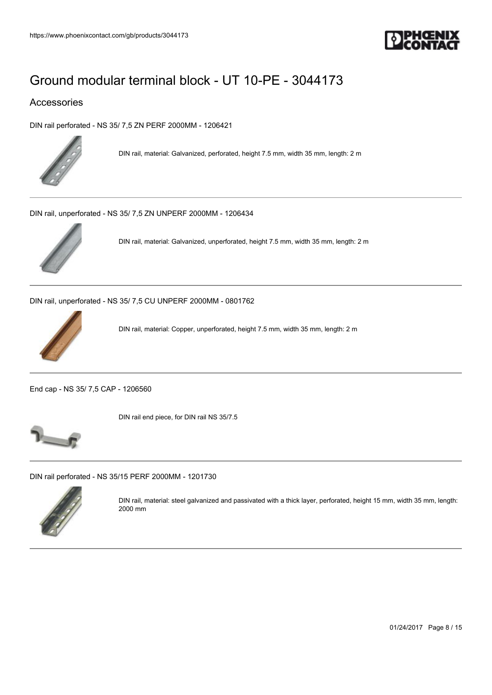

### Accessories

[DIN rail perforated - NS 35/ 7,5 ZN PERF 2000MM - 1206421](https://www.phoenixcontact.com/gb/products/1206421)



DIN rail, material: Galvanized, perforated, height 7.5 mm, width 35 mm, length: 2 m

[DIN rail, unperforated - NS 35/ 7,5 ZN UNPERF 2000MM - 1206434](https://www.phoenixcontact.com/gb/products/1206434)



DIN rail, material: Galvanized, unperforated, height 7.5 mm, width 35 mm, length: 2 m

[DIN rail, unperforated - NS 35/ 7,5 CU UNPERF 2000MM - 0801762](https://www.phoenixcontact.com/gb/products/0801762)



DIN rail, material: Copper, unperforated, height 7.5 mm, width 35 mm, length: 2 m

[End cap - NS 35/ 7,5 CAP - 1206560](https://www.phoenixcontact.com/gb/products/1206560)



DIN rail end piece, for DIN rail NS 35/7.5



[DIN rail perforated - NS 35/15 PERF 2000MM - 1201730](https://www.phoenixcontact.com/gb/products/1201730)



DIN rail, material: steel galvanized and passivated with a thick layer, perforated, height 15 mm, width 35 mm, length: 2000 mm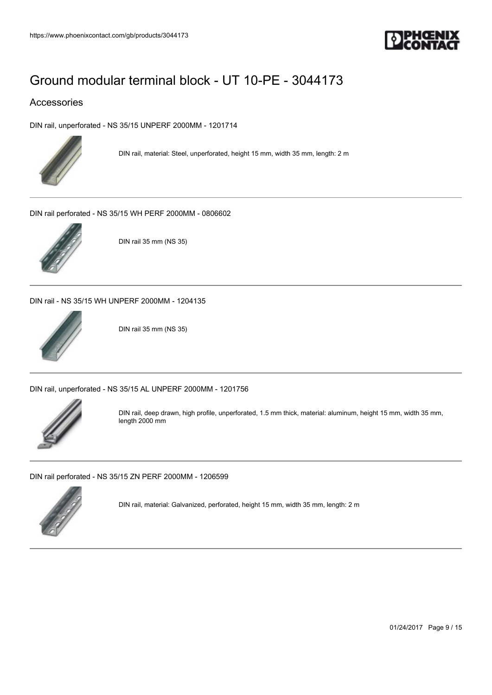

### Accessories

[DIN rail, unperforated - NS 35/15 UNPERF 2000MM - 1201714](https://www.phoenixcontact.com/gb/products/1201714)



DIN rail, material: Steel, unperforated, height 15 mm, width 35 mm, length: 2 m

[DIN rail perforated - NS 35/15 WH PERF 2000MM - 0806602](https://www.phoenixcontact.com/gb/products/0806602)



DIN rail 35 mm (NS 35)

[DIN rail - NS 35/15 WH UNPERF 2000MM - 1204135](https://www.phoenixcontact.com/gb/products/1204135)



DIN rail 35 mm (NS 35)

[DIN rail, unperforated - NS 35/15 AL UNPERF 2000MM - 1201756](https://www.phoenixcontact.com/gb/products/1201756)



DIN rail, deep drawn, high profile, unperforated, 1.5 mm thick, material: aluminum, height 15 mm, width 35 mm, length 2000 mm

[DIN rail perforated - NS 35/15 ZN PERF 2000MM - 1206599](https://www.phoenixcontact.com/gb/products/1206599)



DIN rail, material: Galvanized, perforated, height 15 mm, width 35 mm, length: 2 m

01/24/2017 Page 9 / 15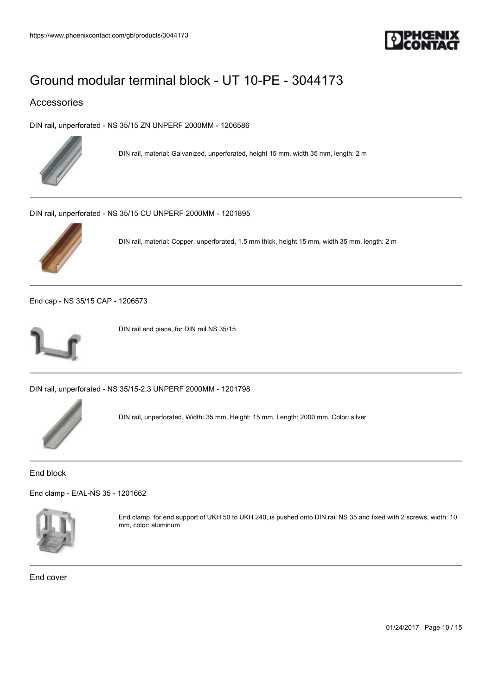

### Accessories

[DIN rail, unperforated - NS 35/15 ZN UNPERF 2000MM - 1206586](https://www.phoenixcontact.com/gb/products/1206586)



DIN rail, material: Galvanized, unperforated, height 15 mm, width 35 mm, length: 2 m

[DIN rail, unperforated - NS 35/15 CU UNPERF 2000MM - 1201895](https://www.phoenixcontact.com/gb/products/1201895)



DIN rail, material: Copper, unperforated, 1.5 mm thick, height 15 mm, width 35 mm, length: 2 m

[End cap - NS 35/15 CAP - 1206573](https://www.phoenixcontact.com/gb/products/1206573)



DIN rail end piece, for DIN rail NS 35/15

[DIN rail, unperforated - NS 35/15-2,3 UNPERF 2000MM - 1201798](https://www.phoenixcontact.com/gb/products/1201798)



DIN rail, unperforated, Width: 35 mm, Height: 15 mm, Length: 2000 mm, Color: silver

End block

[End clamp - E/AL-NS 35 - 1201662](https://www.phoenixcontact.com/gb/products/1201662)



End clamp, for end support of UKH 50 to UKH 240, is pushed onto DIN rail NS 35 and fixed with 2 screws, width: 10 mm, color: aluminum

End cover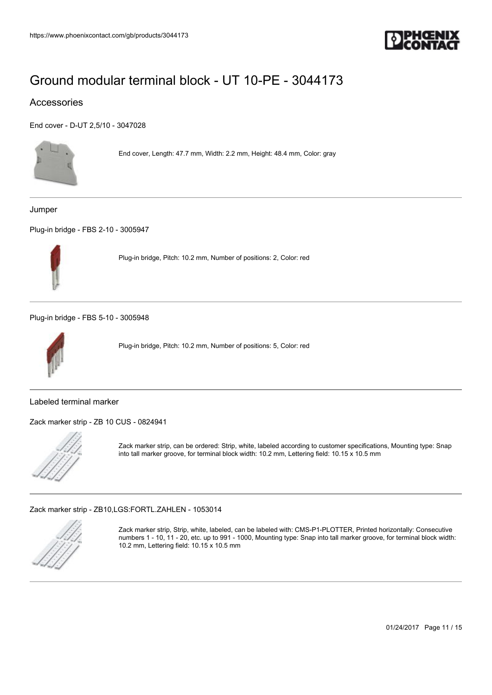

### Accessories

[End cover - D-UT 2,5/10 - 3047028](https://www.phoenixcontact.com/gb/products/3047028)



End cover, Length: 47.7 mm, Width: 2.2 mm, Height: 48.4 mm, Color: gray

Jumper

[Plug-in bridge - FBS 2-10 - 3005947](https://www.phoenixcontact.com/gb/products/3005947)



Plug-in bridge, Pitch: 10.2 mm, Number of positions: 2, Color: red

[Plug-in bridge - FBS 5-10 - 3005948](https://www.phoenixcontact.com/gb/products/3005948)



Plug-in bridge, Pitch: 10.2 mm, Number of positions: 5, Color: red

Labeled terminal marker

[Zack marker strip - ZB 10 CUS - 0824941](https://www.phoenixcontact.com/gb/products/0824941)



Zack marker strip, can be ordered: Strip, white, labeled according to customer specifications, Mounting type: Snap into tall marker groove, for terminal block width: 10.2 mm, Lettering field: 10.15 x 10.5 mm

[Zack marker strip - ZB10,LGS:FORTL.ZAHLEN - 1053014](https://www.phoenixcontact.com/gb/products/1053014)



Zack marker strip, Strip, white, labeled, can be labeled with: CMS-P1-PLOTTER, Printed horizontally: Consecutive numbers 1 - 10, 11 - 20, etc. up to 991 - 1000, Mounting type: Snap into tall marker groove, for terminal block width: 10.2 mm, Lettering field: 10.15 x 10.5 mm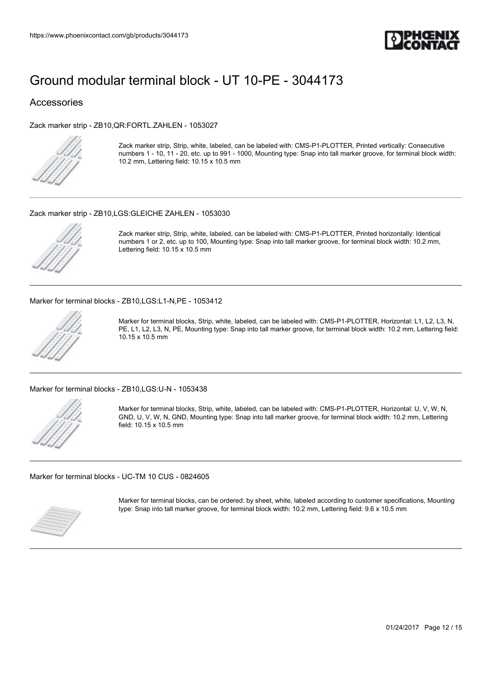

#### Accessories

[Zack marker strip - ZB10,QR:FORTL.ZAHLEN - 1053027](https://www.phoenixcontact.com/gb/products/1053027)



Zack marker strip, Strip, white, labeled, can be labeled with: CMS-P1-PLOTTER, Printed vertically: Consecutive numbers 1 - 10, 11 - 20, etc. up to 991 - 1000, Mounting type: Snap into tall marker groove, for terminal block width: 10.2 mm, Lettering field: 10.15 x 10.5 mm

#### [Zack marker strip - ZB10,LGS:GLEICHE ZAHLEN - 1053030](https://www.phoenixcontact.com/gb/products/1053030)



Zack marker strip, Strip, white, labeled, can be labeled with: CMS-P1-PLOTTER, Printed horizontally: Identical numbers 1 or 2, etc. up to 100, Mounting type: Snap into tall marker groove, for terminal block width: 10.2 mm, Lettering field: 10.15 x 10.5 mm

[Marker for terminal blocks - ZB10,LGS:L1-N,PE - 1053412](https://www.phoenixcontact.com/gb/products/1053412)



Marker for terminal blocks, Strip, white, labeled, can be labeled with: CMS-P1-PLOTTER, Horizontal: L1, L2, L3, N, PE, L1, L2, L3, N, PE, Mounting type: Snap into tall marker groove, for terminal block width: 10.2 mm, Lettering field: 10.15 x 10.5 mm

[Marker for terminal blocks - ZB10,LGS:U-N - 1053438](https://www.phoenixcontact.com/gb/products/1053438)



Marker for terminal blocks, Strip, white, labeled, can be labeled with: CMS-P1-PLOTTER, Horizontal: U, V, W, N, GND, U, V, W, N, GND, Mounting type: Snap into tall marker groove, for terminal block width: 10.2 mm, Lettering field: 10.15 x 10.5 mm

[Marker for terminal blocks - UC-TM 10 CUS - 0824605](https://www.phoenixcontact.com/gb/products/0824605)



Marker for terminal blocks, can be ordered: by sheet, white, labeled according to customer specifications, Mounting type: Snap into tall marker groove, for terminal block width: 10.2 mm, Lettering field: 9.6 x 10.5 mm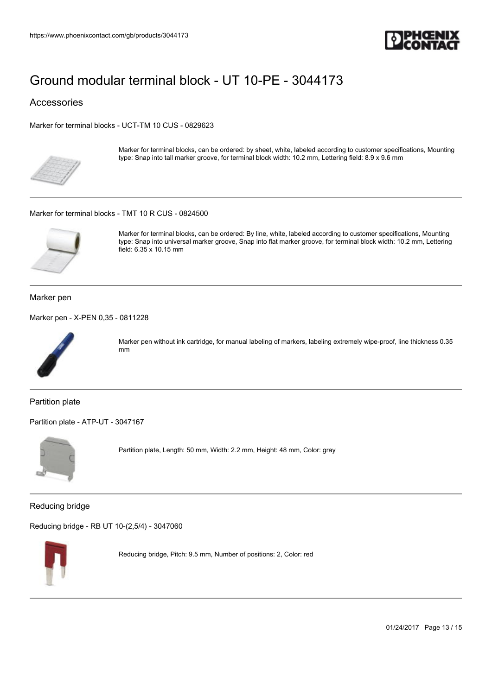

Accessories

[Marker for terminal blocks - UCT-TM 10 CUS - 0829623](https://www.phoenixcontact.com/gb/products/0829623)



Marker for terminal blocks, can be ordered: by sheet, white, labeled according to customer specifications, Mounting type: Snap into tall marker groove, for terminal block width: 10.2 mm, Lettering field: 8.9 x 9.6 mm

#### [Marker for terminal blocks - TMT 10 R CUS - 0824500](https://www.phoenixcontact.com/gb/products/0824500)



Marker for terminal blocks, can be ordered: By line, white, labeled according to customer specifications, Mounting type: Snap into universal marker groove, Snap into flat marker groove, for terminal block width: 10.2 mm, Lettering field: 6.35 x 10.15 mm

Marker pen

[Marker pen - X-PEN 0,35 - 0811228](https://www.phoenixcontact.com/gb/products/0811228)



Marker pen without ink cartridge, for manual labeling of markers, labeling extremely wipe-proof, line thickness 0.35 mm

Partition plate

[Partition plate - ATP-UT - 3047167](https://www.phoenixcontact.com/gb/products/3047167)



Partition plate, Length: 50 mm, Width: 2.2 mm, Height: 48 mm, Color: gray

Reducing bridge

[Reducing bridge - RB UT 10-\(2,5/4\) - 3047060](https://www.phoenixcontact.com/gb/products/3047060)



Reducing bridge, Pitch: 9.5 mm, Number of positions: 2, Color: red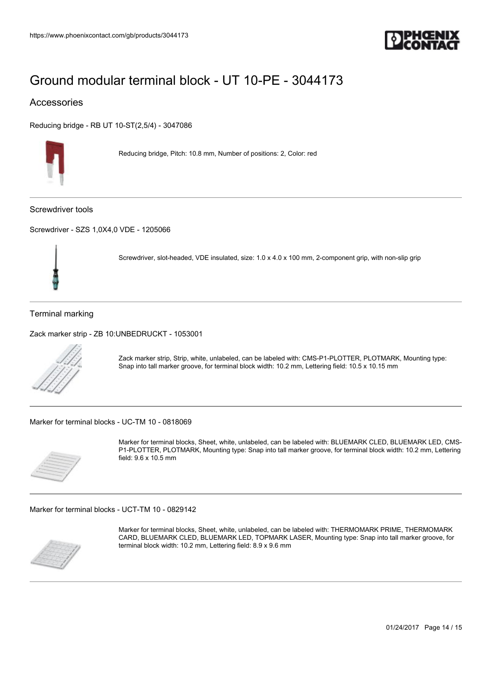

#### Accessories

[Reducing bridge - RB UT 10-ST\(2,5/4\) - 3047086](https://www.phoenixcontact.com/gb/products/3047086)



Reducing bridge, Pitch: 10.8 mm, Number of positions: 2, Color: red

Screwdriver tools

[Screwdriver - SZS 1,0X4,0 VDE - 1205066](https://www.phoenixcontact.com/gb/products/1205066)



Screwdriver, slot-headed, VDE insulated, size: 1.0 x 4.0 x 100 mm, 2-component grip, with non-slip grip

Terminal marking

[Zack marker strip - ZB 10:UNBEDRUCKT - 1053001](https://www.phoenixcontact.com/gb/products/1053001)



Zack marker strip, Strip, white, unlabeled, can be labeled with: CMS-P1-PLOTTER, PLOTMARK, Mounting type: Snap into tall marker groove, for terminal block width: 10.2 mm, Lettering field: 10.5 x 10.15 mm

[Marker for terminal blocks - UC-TM 10 - 0818069](https://www.phoenixcontact.com/gb/products/0818069)



Marker for terminal blocks, Sheet, white, unlabeled, can be labeled with: BLUEMARK CLED, BLUEMARK LED, CMS-P1-PLOTTER, PLOTMARK, Mounting type: Snap into tall marker groove, for terminal block width: 10.2 mm, Lettering field: 9.6 x 10.5 mm

[Marker for terminal blocks - UCT-TM 10 - 0829142](https://www.phoenixcontact.com/gb/products/0829142)



Marker for terminal blocks, Sheet, white, unlabeled, can be labeled with: THERMOMARK PRIME, THERMOMARK CARD, BLUEMARK CLED, BLUEMARK LED, TOPMARK LASER, Mounting type: Snap into tall marker groove, for terminal block width: 10.2 mm, Lettering field: 8.9 x 9.6 mm